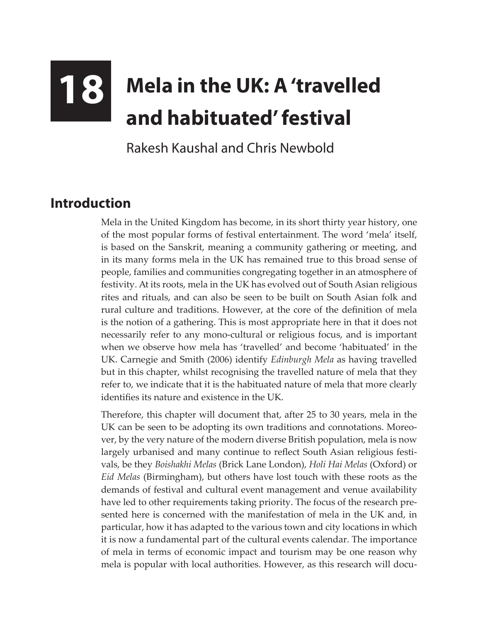## **18 Mela in the UK: A 'travelled and habituated' festival**

Rakesh Kaushal and Chris Newbold

## **Introduction**

Mela in the United Kingdom has become, in its short thirty year history, one of the most popular forms of festival entertainment. The word 'mela' itself, is based on the Sanskrit, meaning a community gathering or meeting, and in its many forms mela in the UK has remained true to this broad sense of people, families and communities congregating together in an atmosphere of festivity. At its roots, mela in the UK has evolved out of South Asian religious rites and rituals, and can also be seen to be built on South Asian folk and rural culture and traditions. However, at the core of the definition of mela is the notion of a gathering. This is most appropriate here in that it does not necessarily refer to any mono-cultural or religious focus, and is important when we observe how mela has 'travelled' and become 'habituated' in the UK. Carnegie and Smith (2006) identify *Edinburgh Mela* as having travelled but in this chapter, whilst recognising the travelled nature of mela that they refer to, we indicate that it is the habituated nature of mela that more clearly identifies its nature and existence in the UK.

Therefore, this chapter will document that, after 25 to 30 years, mela in the UK can be seen to be adopting its own traditions and connotations. Moreover, by the very nature of the modern diverse British population, mela is now largely urbanised and many continue to reflect South Asian religious festivals, be they *Boishakhi Melas* (Brick Lane London), *Holi Hai Melas* (Oxford) or *Eid Melas* (Birmingham), but others have lost touch with these roots as the demands of festival and cultural event management and venue availability have led to other requirements taking priority. The focus of the research presented here is concerned with the manifestation of mela in the UK and, in particular, how it has adapted to the various town and city locations in which it is now a fundamental part of the cultural events calendar. The importance of mela in terms of economic impact and tourism may be one reason why mela is popular with local authorities. However, as this research will docu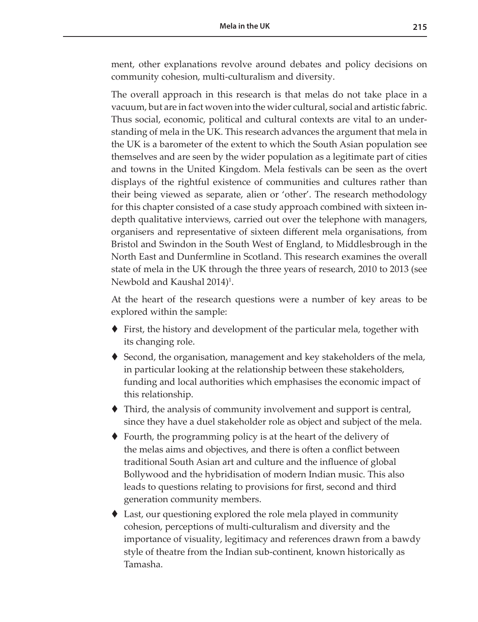ment, other explanations revolve around debates and policy decisions on community cohesion, multi-culturalism and diversity.

The overall approach in this research is that melas do not take place in a vacuum, but are in fact woven into the wider cultural, social and artistic fabric. Thus social, economic, political and cultural contexts are vital to an understanding of mela in the UK. This research advances the argument that mela in the UK is a barometer of the extent to which the South Asian population see themselves and are seen by the wider population as a legitimate part of cities and towns in the United Kingdom. Mela festivals can be seen as the overt displays of the rightful existence of communities and cultures rather than their being viewed as separate, alien or 'other'. The research methodology for this chapter consisted of a case study approach combined with sixteen indepth qualitative interviews, carried out over the telephone with managers, organisers and representative of sixteen different mela organisations, from Bristol and Swindon in the South West of England, to Middlesbrough in the North East and Dunfermline in Scotland. This research examines the overall state of mela in the UK through the three years of research, 2010 to 2013 (see Newbold and Kaushal 2014)<sup>1</sup>.

At the heart of the research questions were a number of key areas to be explored within the sample:

- First, the history and development of the particular mela, together with its changing role.
- Second, the organisation, management and key stakeholders of the mela, in particular looking at the relationship between these stakeholders, funding and local authorities which emphasises the economic impact of this relationship.
- Third, the analysis of community involvement and support is central, since they have a duel stakeholder role as object and subject of the mela.
- Fourth, the programming policy is at the heart of the delivery of the melas aims and objectives, and there is often a conflict between traditional South Asian art and culture and the influence of global Bollywood and the hybridisation of modern Indian music. This also leads to questions relating to provisions for first, second and third generation community members.
- Last, our questioning explored the role mela played in community cohesion, perceptions of multi-culturalism and diversity and the importance of visuality, legitimacy and references drawn from a bawdy style of theatre from the Indian sub-continent, known historically as Tamasha.